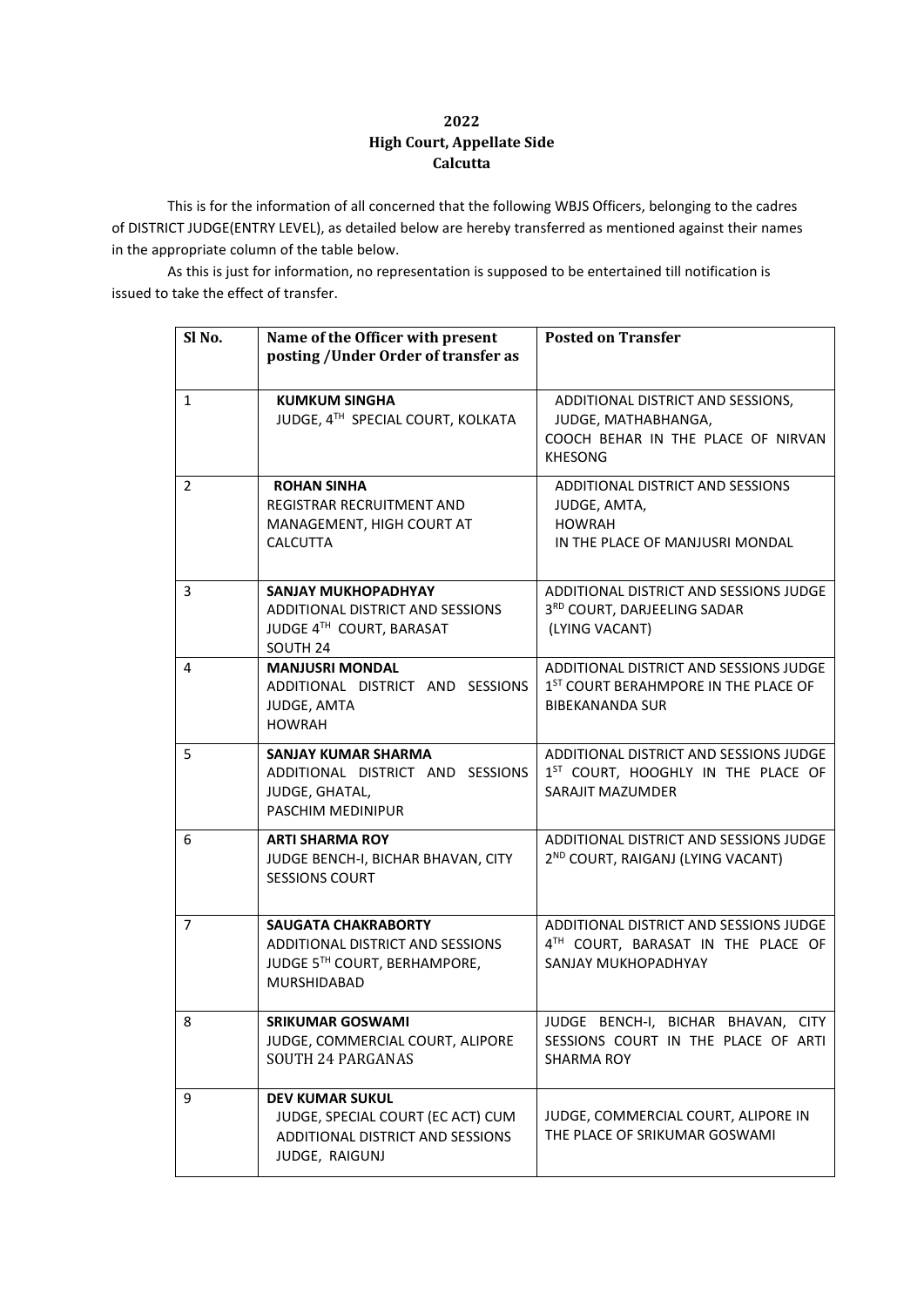## **2022 High Court, Appellate Side Calcutta**

This is for the information of all concerned that the following WBJS Officers, belonging to the cadres of DISTRICT JUDGE(ENTRY LEVEL), as detailed below are hereby transferred as mentioned against their names in the appropriate column of the table below.

As this is just for information, no representation is supposed to be entertained till notification is issued to take the effect of transfer.

| Sl <sub>No.</sub> | Name of the Officer with present<br>posting / Under Order of transfer as                                             | <b>Posted on Transfer</b>                                                                                            |
|-------------------|----------------------------------------------------------------------------------------------------------------------|----------------------------------------------------------------------------------------------------------------------|
| $\mathbf{1}$      | <b>KUMKUM SINGHA</b><br>JUDGE, 4TH SPECIAL COURT, KOLKATA                                                            | ADDITIONAL DISTRICT AND SESSIONS,<br>JUDGE, MATHABHANGA,<br>COOCH BEHAR IN THE PLACE OF NIRVAN<br><b>KHESONG</b>     |
| $\overline{2}$    | <b>ROHAN SINHA</b><br><b>REGISTRAR RECRUITMENT AND</b><br>MANAGEMENT, HIGH COURT AT<br><b>CALCUTTA</b>               | ADDITIONAL DISTRICT AND SESSIONS<br>JUDGE, AMTA,<br><b>HOWRAH</b><br>IN THE PLACE OF MANJUSRI MONDAL                 |
| 3                 | <b>SANJAY MUKHOPADHYAY</b><br>ADDITIONAL DISTRICT AND SESSIONS<br>JUDGE 4TH COURT, BARASAT<br>SOUTH <sub>24</sub>    | ADDITIONAL DISTRICT AND SESSIONS JUDGE<br>3RD COURT, DARJEELING SADAR<br>(LYING VACANT)                              |
| $\overline{4}$    | <b>MANJUSRI MONDAL</b><br>ADDITIONAL DISTRICT AND SESSIONS<br>JUDGE, AMTA<br><b>HOWRAH</b>                           | ADDITIONAL DISTRICT AND SESSIONS JUDGE<br>1 <sup>ST</sup> COURT BERAHMPORE IN THE PLACE OF<br><b>BIBEKANANDA SUR</b> |
| 5                 | <b>SANJAY KUMAR SHARMA</b><br>ADDITIONAL DISTRICT AND SESSIONS<br>JUDGE, GHATAL,<br>PASCHIM MEDINIPUR                | ADDITIONAL DISTRICT AND SESSIONS JUDGE<br>1 <sup>ST</sup> COURT, HOOGHLY IN THE PLACE OF<br>SARAJIT MAZUMDER         |
| 6                 | <b>ARTI SHARMA ROY</b><br>JUDGE BENCH-I, BICHAR BHAVAN, CITY<br><b>SESSIONS COURT</b>                                | ADDITIONAL DISTRICT AND SESSIONS JUDGE<br>2 <sup>ND</sup> COURT, RAIGANJ (LYING VACANT)                              |
| 7                 | <b>SAUGATA CHAKRABORTY</b><br><b>ADDITIONAL DISTRICT AND SESSIONS</b><br>JUDGE 5TH COURT, BERHAMPORE,<br>MURSHIDABAD | ADDITIONAL DISTRICT AND SESSIONS JUDGE<br>4TH COURT, BARASAT IN THE PLACE OF<br>SANJAY MUKHOPADHYAY                  |
| 8                 | <b>SRIKUMAR GOSWAMI</b><br>JUDGE, COMMERCIAL COURT, ALIPORE<br><b>SOUTH 24 PARGANAS</b>                              | JUDGE BENCH-I, BICHAR BHAVAN, CITY<br>SESSIONS COURT IN THE PLACE OF ARTI<br>SHARMA ROY                              |
| 9                 | <b>DEV KUMAR SUKUL</b><br>JUDGE, SPECIAL COURT (EC ACT) CUM<br>ADDITIONAL DISTRICT AND SESSIONS<br>JUDGE, RAIGUNJ    | JUDGE, COMMERCIAL COURT, ALIPORE IN<br>THE PLACE OF SRIKUMAR GOSWAMI                                                 |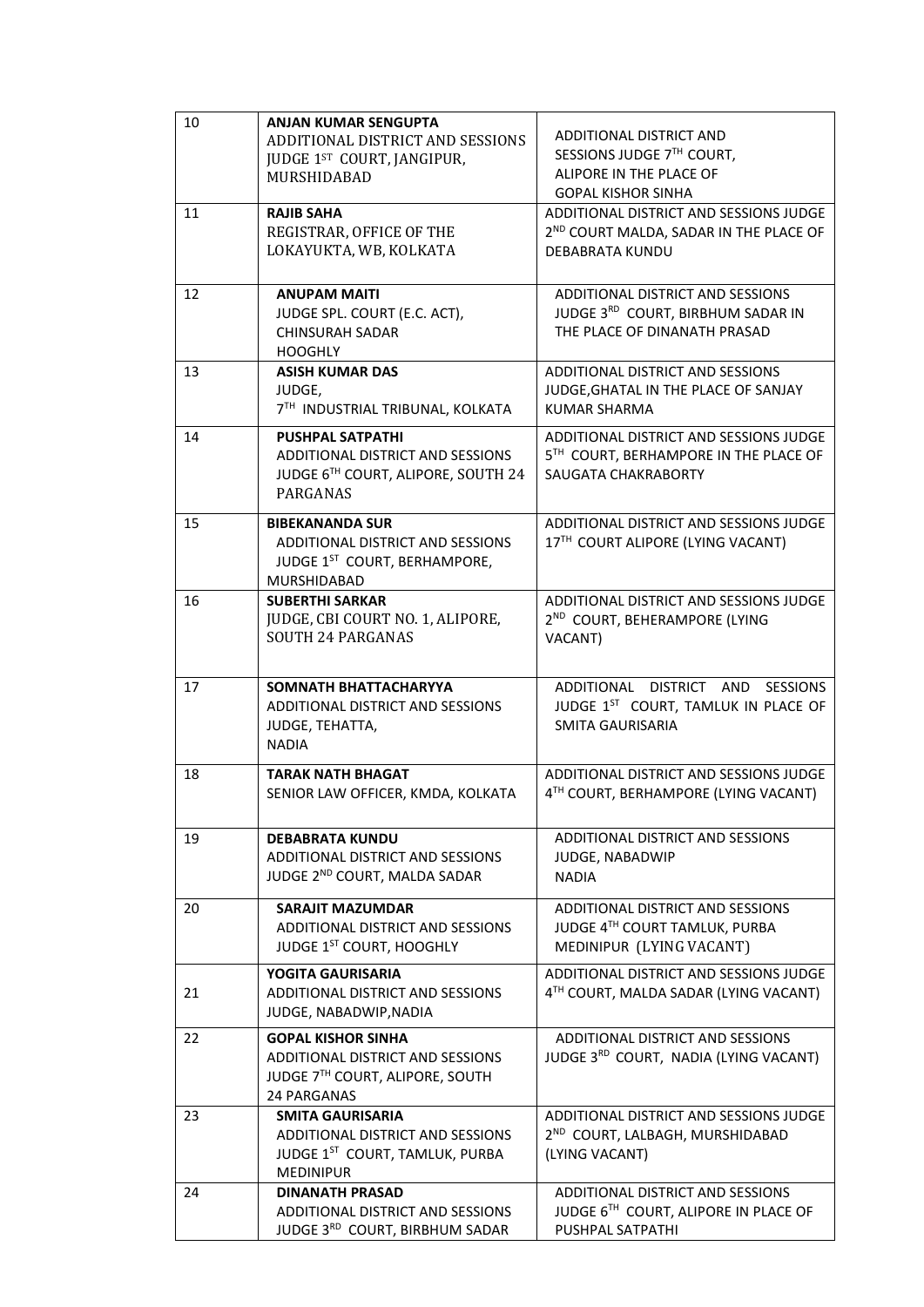| 10 | <b>ANJAN KUMAR SENGUPTA</b>             |                                                               |
|----|-----------------------------------------|---------------------------------------------------------------|
|    | ADDITIONAL DISTRICT AND SESSIONS        | ADDITIONAL DISTRICT AND                                       |
|    | JUDGE 1ST COURT, JANGIPUR,              | SESSIONS JUDGE 7TH COURT,                                     |
|    | MURSHIDABAD                             | ALIPORE IN THE PLACE OF                                       |
|    |                                         | <b>GOPAL KISHOR SINHA</b>                                     |
| 11 | <b>RAJIB SAHA</b>                       | ADDITIONAL DISTRICT AND SESSIONS JUDGE                        |
|    | REGISTRAR, OFFICE OF THE                | 2 <sup>ND</sup> COURT MALDA, SADAR IN THE PLACE OF            |
|    | LOKAYUKTA, WB, KOLKATA                  | <b>DEBABRATA KUNDU</b>                                        |
|    |                                         |                                                               |
| 12 | <b>ANUPAM MAITI</b>                     | ADDITIONAL DISTRICT AND SESSIONS                              |
|    | JUDGE SPL. COURT (E.C. ACT),            | JUDGE 3RD COURT, BIRBHUM SADAR IN                             |
|    | <b>CHINSURAH SADAR</b>                  | THE PLACE OF DINANATH PRASAD                                  |
|    | <b>HOOGHLY</b>                          |                                                               |
| 13 | <b>ASISH KUMAR DAS</b>                  | ADDITIONAL DISTRICT AND SESSIONS                              |
|    | JUDGE,                                  | JUDGE, GHATAL IN THE PLACE OF SANJAY                          |
|    | 7TH INDUSTRIAL TRIBUNAL, KOLKATA        | KUMAR SHARMA                                                  |
|    |                                         |                                                               |
| 14 | <b>PUSHPAL SATPATHI</b>                 | ADDITIONAL DISTRICT AND SESSIONS JUDGE                        |
|    | ADDITIONAL DISTRICT AND SESSIONS        | 5TH COURT, BERHAMPORE IN THE PLACE OF                         |
|    | JUDGE 6TH COURT, ALIPORE, SOUTH 24      | SAUGATA CHAKRABORTY                                           |
|    | PARGANAS                                |                                                               |
| 15 | <b>BIBEKANANDA SUR</b>                  | ADDITIONAL DISTRICT AND SESSIONS JUDGE                        |
|    | ADDITIONAL DISTRICT AND SESSIONS        | 17TH COURT ALIPORE (LYING VACANT)                             |
|    | JUDGE 1ST COURT, BERHAMPORE,            |                                                               |
|    | <b>MURSHIDABAD</b>                      |                                                               |
| 16 | <b>SUBERTHI SARKAR</b>                  | ADDITIONAL DISTRICT AND SESSIONS JUDGE                        |
|    | JUDGE, CBI COURT NO. 1, ALIPORE,        | 2 <sup>ND</sup> COURT, BEHERAMPORE (LYING                     |
|    | <b>SOUTH 24 PARGANAS</b>                | VACANT)                                                       |
|    |                                         |                                                               |
|    |                                         |                                                               |
|    |                                         |                                                               |
| 17 | SOMNATH BHATTACHARYYA                   | ADDITIONAL DISTRICT AND SESSIONS                              |
|    | ADDITIONAL DISTRICT AND SESSIONS        | JUDGE 1ST COURT, TAMLUK IN PLACE OF                           |
|    | JUDGE, TEHATTA,                         | SMITA GAURISARIA                                              |
|    | <b>NADIA</b>                            |                                                               |
|    |                                         |                                                               |
| 18 | <b>TARAK NATH BHAGAT</b>                | ADDITIONAL DISTRICT AND SESSIONS JUDGE                        |
|    | SENIOR LAW OFFICER, KMDA, KOLKATA       | 4TH COURT, BERHAMPORE (LYING VACANT)                          |
|    |                                         |                                                               |
| 19 | <b>DEBABRATA KUNDU</b>                  | ADDITIONAL DISTRICT AND SESSIONS                              |
|    | ADDITIONAL DISTRICT AND SESSIONS        | JUDGE, NABADWIP                                               |
|    | JUDGE 2ND COURT, MALDA SADAR            | <b>NADIA</b>                                                  |
|    |                                         |                                                               |
| 20 | <b>SARAJIT MAZUMDAR</b>                 | ADDITIONAL DISTRICT AND SESSIONS                              |
|    | ADDITIONAL DISTRICT AND SESSIONS        | JUDGE 4TH COURT TAMLUK, PURBA                                 |
|    | JUDGE 1ST COURT, HOOGHLY                | MEDINIPUR (LYING VACANT)                                      |
|    | YOGITA GAURISARIA                       | ADDITIONAL DISTRICT AND SESSIONS JUDGE                        |
| 21 | ADDITIONAL DISTRICT AND SESSIONS        | 4TH COURT, MALDA SADAR (LYING VACANT)                         |
|    | JUDGE, NABADWIP, NADIA                  |                                                               |
| 22 | <b>GOPAL KISHOR SINHA</b>               | ADDITIONAL DISTRICT AND SESSIONS                              |
|    | <b>ADDITIONAL DISTRICT AND SESSIONS</b> | JUDGE 3RD COURT, NADIA (LYING VACANT)                         |
|    | JUDGE 7TH COURT, ALIPORE, SOUTH         |                                                               |
|    | 24 PARGANAS                             |                                                               |
| 23 | <b>SMITA GAURISARIA</b>                 | ADDITIONAL DISTRICT AND SESSIONS JUDGE                        |
|    | ADDITIONAL DISTRICT AND SESSIONS        |                                                               |
|    | JUDGE 1ST COURT, TAMLUK, PURBA          | 2 <sup>ND</sup> COURT, LALBAGH, MURSHIDABAD<br>(LYING VACANT) |
|    | <b>MEDINIPUR</b>                        |                                                               |
| 24 | <b>DINANATH PRASAD</b>                  | ADDITIONAL DISTRICT AND SESSIONS                              |
|    | ADDITIONAL DISTRICT AND SESSIONS        | JUDGE 6TH COURT, ALIPORE IN PLACE OF                          |